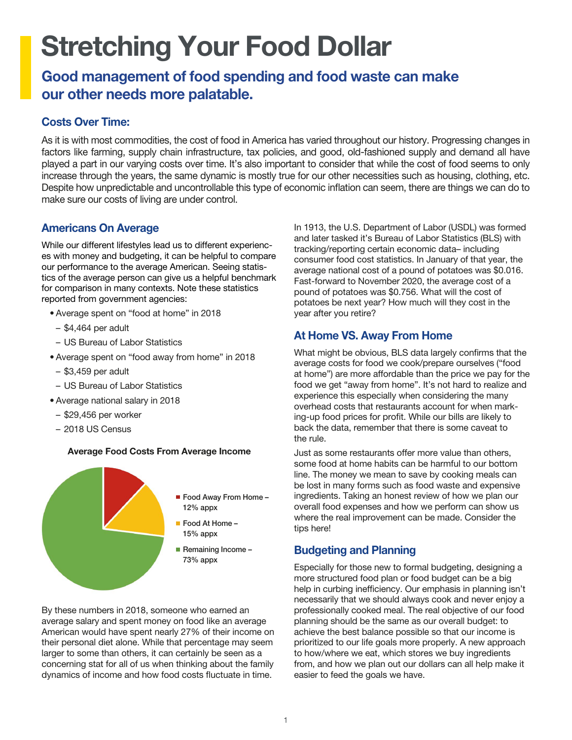# Stretching Your Food Dollar

## Good management of food spending and food waste can make our other needs more palatable.

## Costs Over Time:

As it is with most commodities, the cost of food in America has varied throughout our history. Progressing changes in factors like farming, supply chain infrastructure, tax policies, and good, old-fashioned supply and demand all have played a part in our varying costs over time. It's also important to consider that while the cost of food seems to only increase through the years, the same dynamic is mostly true for our other necessities such as housing, clothing, etc. Despite how unpredictable and uncontrollable this type of economic inflation can seem, there are things we can do to make sure our costs of living are under control.

## Americans On Average

While our different lifestyles lead us to different experiences with money and budgeting, it can be helpful to compare our performance to the average American. Seeing statistics of the average person can give us a helpful benchmark for comparison in many contexts. Note these statistics reported from government agencies:

- Average spent on "food at home" in 2018
- \$4,464 per adult
- US Bureau of Labor Statistics
- Average spent on "food away from home" in 2018
- \$3,459 per adult
- US Bureau of Labor Statistics
- Average national salary in 2018
- \$29,456 per worker
- 2018 US Census

#### Average Food Costs From Average Income



By these numbers in 2018, someone who earned an average salary and spent money on food like an average American would have spent nearly 27% of their income on their personal diet alone. While that percentage may seem larger to some than others, it can certainly be seen as a concerning stat for all of us when thinking about the family dynamics of income and how food costs fluctuate in time.

In 1913, the U.S. Department of Labor (USDL) was formed and later tasked it's Bureau of Labor Statistics (BLS) with tracking/reporting certain economic data– including consumer food cost statistics. In January of that year, the average national cost of a pound of potatoes was \$0.016. Fast-forward to November 2020, the average cost of a pound of potatoes was \$0.756. What will the cost of potatoes be next year? How much will they cost in the year after you retire?

## At Home VS. Away From Home

What might be obvious, BLS data largely confirms that the average costs for food we cook/prepare ourselves ("food at home") are more affordable than the price we pay for the food we get "away from home". It's not hard to realize and experience this especially when considering the many overhead costs that restaurants account for when marking-up food prices for profit. While our bills are likely to back the data, remember that there is some caveat to the rule.

Just as some restaurants offer more value than others, some food at home habits can be harmful to our bottom line. The money we mean to save by cooking meals can be lost in many forms such as food waste and expensive ingredients. Taking an honest review of how we plan our overall food expenses and how we perform can show us where the real improvement can be made. Consider the tips here!

## Budgeting and Planning

Especially for those new to formal budgeting, designing a more structured food plan or food budget can be a big help in curbing inefficiency. Our emphasis in planning isn't necessarily that we should always cook and never enjoy a professionally cooked meal. The real objective of our food planning should be the same as our overall budget: to achieve the best balance possible so that our income is prioritized to our life goals more properly. A new approach to how/where we eat, which stores we buy ingredients from, and how we plan out our dollars can all help make it easier to feed the goals we have.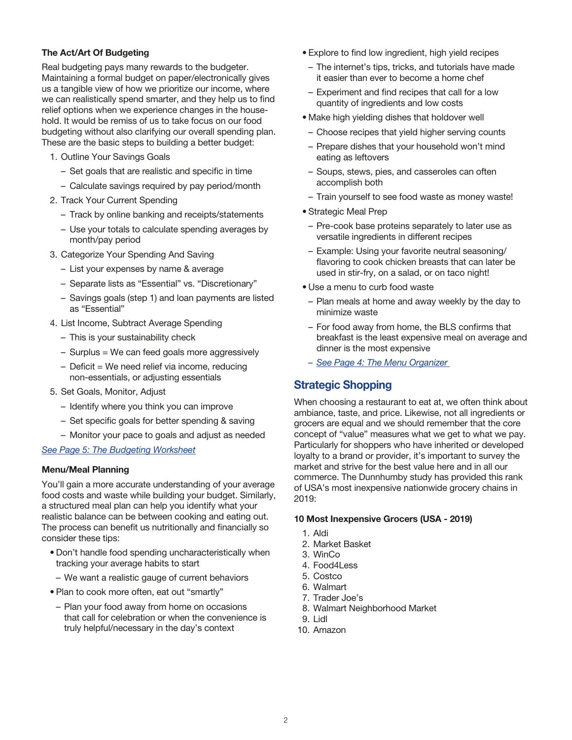#### The Act/Art Of Budgeting

Real budgeting pays many rewards to the budgeter. Maintaining a formal budget on paper/electronically gives us a tangible view of how we prioritize our income, where we can realistically spend smarter, and they help us to find relief options when we experience changes in the household. It would be remiss of us to take focus on our food budgeting without also clarifying our overall spending plan. These are the basic steps to building a better budget:

- 1. Outline Your Savings Goals
	- Set goals that are realistic and specific in time
	- Calculate savings required by pay period/month
- 2. Track Your Current Spending
	- Track by online banking and receipts/statements
	- Use your totals to calculate spending averages by month/pay period
- 3. Categorize Your Spending And Saving
	- List your expenses by name & average
	- Separate lists as "Essential" vs. "Discretionary"
	- Savings goals (step 1) and loan payments are listed as "Essential"
- 4. List Income, Subtract Average Spending
	- This is your sustainability check
	- Surplus = We can feed goals more aggressively
	- Deficit = We need relief via income, reducing non-essentials, or adjusting essentials
- 5. Set Goals, Monitor, Adjust
	- Identify where you think you can improve
	- Set specific goals for better spending & saving
	- Monitor your pace to goals and adjust as needed

#### *[See Page 5: The Budgeting Worksheet](#page-4-0)*

#### Menu/Meal Planning

You'll gain a more accurate understanding of your average food costs and waste while building your budget. Similarly, a structured meal plan can help you identify what your realistic balance can be between cooking and eating out. The process can benefit us nutritionally and financially so consider these tips:

- Don't handle food spending uncharacteristically when tracking your average habits to start
- We want a realistic gauge of current behaviors
- Plan to cook more often, eat out "smartly"
- Plan your food away from home on occasions that call for celebration or when the convenience is truly helpful/necessary in the day's context
- Explore to find low ingredient, high yield recipes
- The internet's tips, tricks, and tutorials have made it easier than ever to become a home chef
- Experiment and find recipes that call for a low quantity of ingredients and low costs
- Make high yielding dishes that holdover well
- Choose recipes that yield higher serving counts
- Prepare dishes that your household won't mind eating as leftovers
- Soups, stews, pies, and casseroles can often accomplish both
- Train yourself to see food waste as money waste!
- Strategic Meal Prep
- Pre-cook base proteins separately to later use as versatile ingredients in different recipes
- Example: Using your favorite neutral seasoning/ flavoring to cook chicken breasts that can later be used in stir-fry, on a salad, or on taco night!
- Use a menu to curb food waste
- Plan meals at home and away weekly by the day to minimize waste
- For food away from home, the BLS confirms that breakfast is the least expensive meal on average and dinner is the most expensive
- *[See Page 4: The Menu Organizer](#page-3-0)*

#### Strategic Shopping

When choosing a restaurant to eat at, we often think about ambiance, taste, and price. Likewise, not all ingredients or grocers are equal and we should remember that the core concept of "value" measures what we get to what we pay. Particularly for shoppers who have inherited or developed loyalty to a brand or provider, it's important to survey the market and strive for the best value here and in all our commerce. The Dunnhumby study has provided this rank of USA's most inexpensive nationwide grocery chains in 2019:

#### 10 Most Inexpensive Grocers (USA - 2019)

- 1. Aldi
- 2. Market Basket
- 3. WinCo
- 4. Food4Less
- 5. Costco
- 6. Walmart
- 7. Trader Joe's
- 8. Walmart Neighborhood Market
- 9. Lidl
- 10. Amazon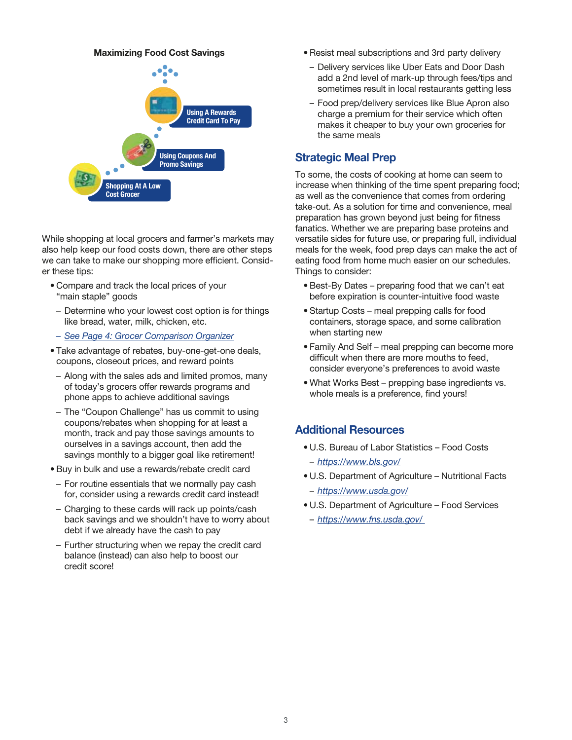#### Maximizing Food Cost Savings



While shopping at local grocers and farmer's markets may also help keep our food costs down, there are other steps we can take to make our shopping more efficient. Consider these tips:

- Compare and track the local prices of your "main staple" goods
- Determine who your lowest cost option is for things like bread, water, milk, chicken, etc.
- *– [See Page 4: Grocer Comparison Organizer](#page-3-0)*
- Take advantage of rebates, buy-one-get-one deals, coupons, closeout prices, and reward points
- Along with the sales ads and limited promos, many of today's grocers offer rewards programs and phone apps to achieve additional savings
- The "Coupon Challenge" has us commit to using coupons/rebates when shopping for at least a month, track and pay those savings amounts to ourselves in a savings account, then add the savings monthly to a bigger goal like retirement!
- Buy in bulk and use a rewards/rebate credit card
- For routine essentials that we normally pay cash for, consider using a rewards credit card instead!
- Charging to these cards will rack up points/cash back savings and we shouldn't have to worry about debt if we already have the cash to pay
- Further structuring when we repay the credit card balance (instead) can also help to boost our credit score!
- Resist meal subscriptions and 3rd party delivery
- Delivery services like Uber Eats and Door Dash add a 2nd level of mark-up through fees/tips and sometimes result in local restaurants getting less
- Food prep/delivery services like Blue Apron also charge a premium for their service which often makes it cheaper to buy your own groceries for the same meals

#### Strategic Meal Prep

To some, the costs of cooking at home can seem to increase when thinking of the time spent preparing food; as well as the convenience that comes from ordering take-out. As a solution for time and convenience, meal preparation has grown beyond just being for fitness fanatics. Whether we are preparing base proteins and versatile sides for future use, or preparing full, individual meals for the week, food prep days can make the act of eating food from home much easier on our schedules. Things to consider:

- Best-By Dates preparing food that we can't eat before expiration is counter-intuitive food waste
- Startup Costs meal prepping calls for food containers, storage space, and some calibration when starting new
- Family And Self meal prepping can become more difficult when there are more mouths to feed, consider everyone's preferences to avoid waste
- What Works Best prepping base ingredients vs. whole meals is a preference, find yours!

#### Additional Resources

- U.S. Bureau of Labor Statistics Food Costs – *https://www.bls.gov/*
- U.S. Department of Agriculture Nutritional Facts
- *https://www.usda.gov/*
- U.S. Department of Agriculture Food Services
- *https://www.fns.usda.gov/*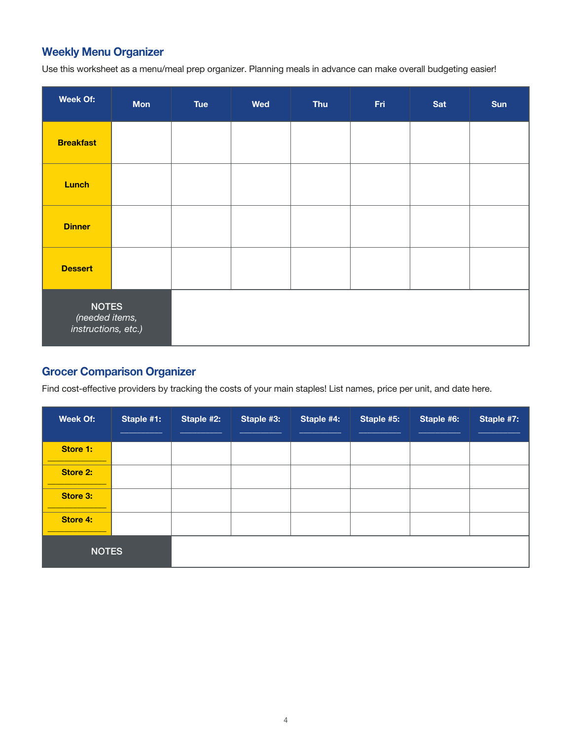## <span id="page-3-0"></span>Weekly Menu Organizer

Use this worksheet as a menu/meal prep organizer. Planning meals in advance can make overall budgeting easier!

| <b>Week Of:</b>                                       | <b>Mon</b> | Tue | <b>Wed</b> | <b>Thu</b> | Fri | Sat | Sun |
|-------------------------------------------------------|------------|-----|------------|------------|-----|-----|-----|
| <b>Breakfast</b>                                      |            |     |            |            |     |     |     |
| <b>Lunch</b>                                          |            |     |            |            |     |     |     |
| <b>Dinner</b>                                         |            |     |            |            |     |     |     |
| <b>Dessert</b>                                        |            |     |            |            |     |     |     |
| <b>NOTES</b><br>(needed items,<br>instructions, etc.) |            |     |            |            |     |     |     |

## Grocer Comparison Organizer

Find cost-effective providers by tracking the costs of your main staples! List names, price per unit, and date here.

| <b>Week Of:</b> | Staple #1: | Staple #2: | Staple #3: | Staple #4: | Staple #5: | Staple #6: | Staple #7: |
|-----------------|------------|------------|------------|------------|------------|------------|------------|
| Store 1:        |            |            |            |            |            |            |            |
| Store 2:        |            |            |            |            |            |            |            |
| Store 3:        |            |            |            |            |            |            |            |
| Store 4:        |            |            |            |            |            |            |            |
| <b>NOTES</b>    |            |            |            |            |            |            |            |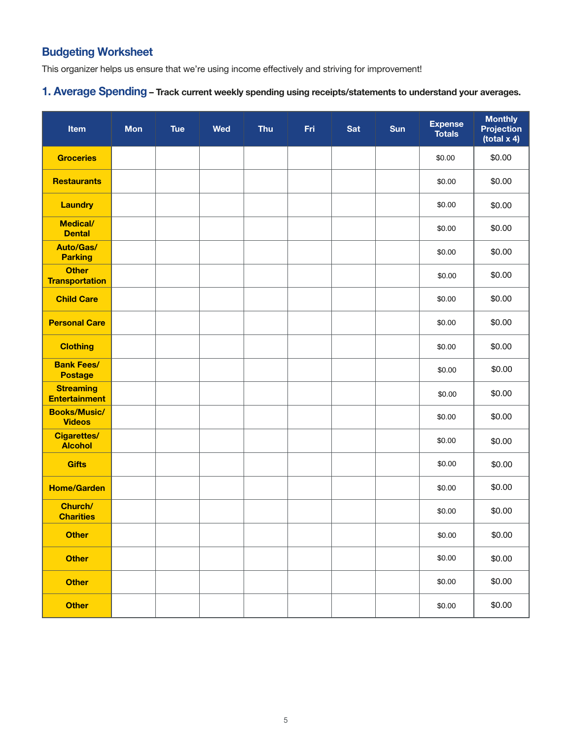## <span id="page-4-0"></span>Budgeting Worksheet

This organizer helps us ensure that we're using income effectively and striving for improvement!

## 1. Average Spending – Track current weekly spending using receipts/statements to understand your averages.

| Item                                     | <b>Mon</b> | <b>Tue</b> | <b>Wed</b> | <b>Thu</b> | Fri | <b>Sat</b> | Sun | <b>Expense</b><br><b>Totals</b> | <b>Monthly</b><br><b>Projection</b><br>(total x 4) |
|------------------------------------------|------------|------------|------------|------------|-----|------------|-----|---------------------------------|----------------------------------------------------|
| <b>Groceries</b>                         |            |            |            |            |     |            |     | \$0.00                          | \$0.00                                             |
| <b>Restaurants</b>                       |            |            |            |            |     |            |     | \$0.00                          | \$0.00                                             |
| <b>Laundry</b>                           |            |            |            |            |     |            |     | \$0.00                          | \$0.00                                             |
| <b>Medical/</b><br><b>Dental</b>         |            |            |            |            |     |            |     | \$0.00                          | \$0.00                                             |
| <b>Auto/Gas/</b><br><b>Parking</b>       |            |            |            |            |     |            |     | \$0.00                          | \$0.00                                             |
| <b>Other</b><br><b>Transportation</b>    |            |            |            |            |     |            |     | \$0.00                          | \$0.00                                             |
| <b>Child Care</b>                        |            |            |            |            |     |            |     | \$0.00                          | \$0.00                                             |
| <b>Personal Care</b>                     |            |            |            |            |     |            |     | \$0.00                          | \$0.00                                             |
| <b>Clothing</b>                          |            |            |            |            |     |            |     | \$0.00                          | \$0.00                                             |
| <b>Bank Fees/</b><br><b>Postage</b>      |            |            |            |            |     |            |     | \$0.00                          | \$0.00                                             |
| <b>Streaming</b><br><b>Entertainment</b> |            |            |            |            |     |            |     | \$0.00                          | \$0.00                                             |
| <b>Books/Music/</b><br><b>Videos</b>     |            |            |            |            |     |            |     | \$0.00                          | \$0.00                                             |
| <b>Cigarettes/</b><br><b>Alcohol</b>     |            |            |            |            |     |            |     | \$0.00                          | \$0.00                                             |
| <b>Gifts</b>                             |            |            |            |            |     |            |     | \$0.00                          | \$0.00                                             |
| <b>Home/Garden</b>                       |            |            |            |            |     |            |     | \$0.00                          | \$0.00                                             |
| Church/<br><b>Charities</b>              |            |            |            |            |     |            |     | \$0.00                          | \$0.00                                             |
| <b>Other</b>                             |            |            |            |            |     |            |     | \$0.00                          | \$0.00                                             |
| <b>Other</b>                             |            |            |            |            |     |            |     | \$0.00                          | \$0.00                                             |
| <b>Other</b>                             |            |            |            |            |     |            |     | \$0.00                          | \$0.00                                             |
| <b>Other</b>                             |            |            |            |            |     |            |     | \$0.00                          | \$0.00                                             |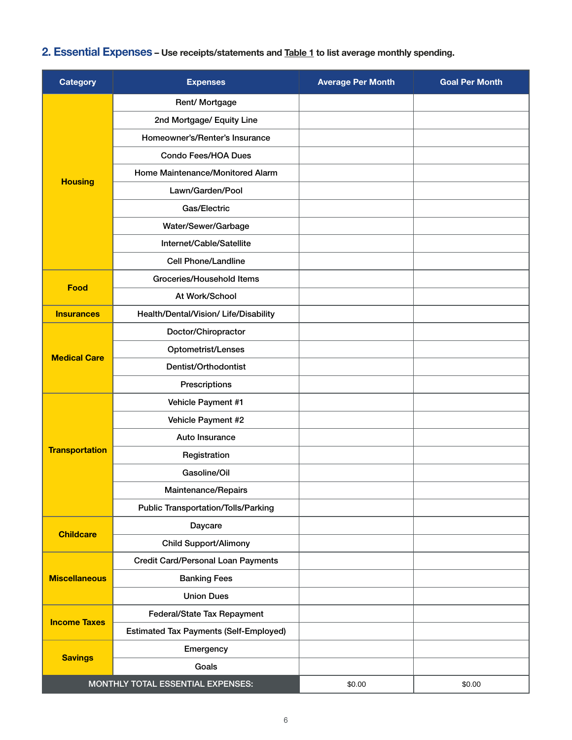# 2. Essential Expenses - Use receipts/statements an[d Table 1 t](#page-4-0)o list average monthly spending.

| <b>Category</b>       | <b>Expenses</b>                               | <b>Average Per Month</b> | <b>Goal Per Month</b> |
|-----------------------|-----------------------------------------------|--------------------------|-----------------------|
|                       | Rent/ Mortgage                                |                          |                       |
|                       | 2nd Mortgage/ Equity Line                     |                          |                       |
|                       | Homeowner's/Renter's Insurance                |                          |                       |
|                       | <b>Condo Fees/HOA Dues</b>                    |                          |                       |
|                       | Home Maintenance/Monitored Alarm              |                          |                       |
| <b>Housing</b>        | Lawn/Garden/Pool                              |                          |                       |
|                       | Gas/Electric                                  |                          |                       |
|                       | Water/Sewer/Garbage                           |                          |                       |
|                       | Internet/Cable/Satellite                      |                          |                       |
|                       | <b>Cell Phone/Landline</b>                    |                          |                       |
| Food                  | Groceries/Household Items                     |                          |                       |
|                       | At Work/School                                |                          |                       |
| <b>Insurances</b>     | Health/Dental/Vision/ Life/Disability         |                          |                       |
|                       | Doctor/Chiropractor                           |                          |                       |
|                       | Optometrist/Lenses                            |                          |                       |
| <b>Medical Care</b>   | Dentist/Orthodontist                          |                          |                       |
|                       | Prescriptions                                 |                          |                       |
|                       | Vehicle Payment #1                            |                          |                       |
|                       | Vehicle Payment #2                            |                          |                       |
|                       | Auto Insurance                                |                          |                       |
| <b>Transportation</b> | Registration                                  |                          |                       |
|                       | Gasoline/Oil                                  |                          |                       |
|                       | Maintenance/Repairs                           |                          |                       |
|                       | <b>Public Transportation/Tolls/Parking</b>    |                          |                       |
| <b>Childcare</b>      | Daycare                                       |                          |                       |
|                       | <b>Child Support/Alimony</b>                  |                          |                       |
| <b>Miscellaneous</b>  | <b>Credit Card/Personal Loan Payments</b>     |                          |                       |
|                       | <b>Banking Fees</b>                           |                          |                       |
|                       | <b>Union Dues</b>                             |                          |                       |
| <b>Income Taxes</b>   | Federal/State Tax Repayment                   |                          |                       |
|                       | <b>Estimated Tax Payments (Self-Employed)</b> |                          |                       |
|                       | Emergency                                     |                          |                       |
| <b>Savings</b>        | Goals                                         |                          |                       |
|                       | MONTHLY TOTAL ESSENTIAL EXPENSES:             | \$0.00                   | \$0.00                |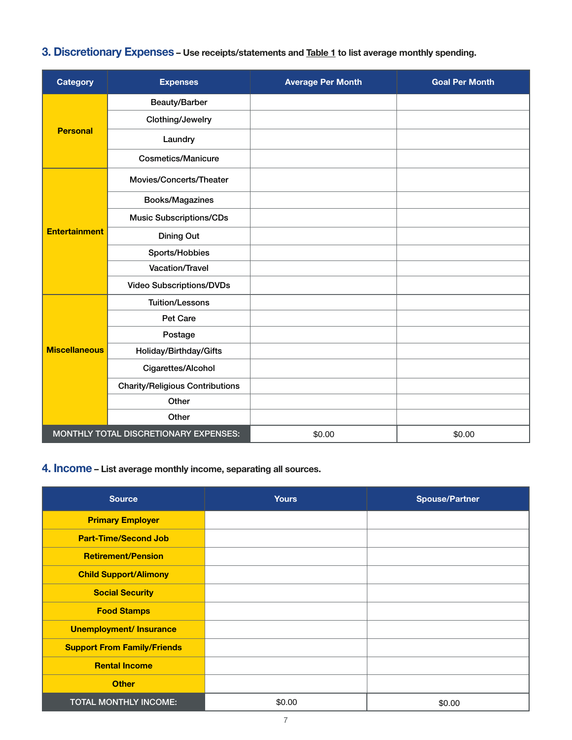## 3. Discretionary Expenses - Use receipts/statements and [Table 1 t](#page-4-0)o list average monthly spending.

| <b>Category</b>                       | <b>Expenses</b>                        | <b>Average Per Month</b> | <b>Goal Per Month</b> |
|---------------------------------------|----------------------------------------|--------------------------|-----------------------|
|                                       | Beauty/Barber                          |                          |                       |
| <b>Personal</b>                       | Clothing/Jewelry                       |                          |                       |
|                                       | Laundry                                |                          |                       |
|                                       | <b>Cosmetics/Manicure</b>              |                          |                       |
|                                       | Movies/Concerts/Theater                |                          |                       |
|                                       | Books/Magazines                        |                          |                       |
|                                       | <b>Music Subscriptions/CDs</b>         |                          |                       |
| <b>Entertainment</b>                  | Dining Out                             |                          |                       |
|                                       | Sports/Hobbies                         |                          |                       |
|                                       | Vacation/Travel                        |                          |                       |
|                                       | <b>Video Subscriptions/DVDs</b>        |                          |                       |
|                                       | <b>Tuition/Lessons</b>                 |                          |                       |
|                                       | Pet Care                               |                          |                       |
|                                       | Postage                                |                          |                       |
| <b>Miscellaneous</b>                  | Holiday/Birthday/Gifts                 |                          |                       |
|                                       | Cigarettes/Alcohol                     |                          |                       |
|                                       | <b>Charity/Religious Contributions</b> |                          |                       |
|                                       | Other                                  |                          |                       |
|                                       | Other                                  |                          |                       |
| MONTHLY TOTAL DISCRETIONARY EXPENSES: |                                        | \$0.00                   | \$0.00                |

## 4. Income – List average monthly income, separating all sources.

| <b>Source</b>                      | <b>Yours</b> | <b>Spouse/Partner</b> |
|------------------------------------|--------------|-----------------------|
| <b>Primary Employer</b>            |              |                       |
| <b>Part-Time/Second Job</b>        |              |                       |
| <b>Retirement/Pension</b>          |              |                       |
| <b>Child Support/Alimony</b>       |              |                       |
| <b>Social Security</b>             |              |                       |
| <b>Food Stamps</b>                 |              |                       |
| <b>Unemployment/ Insurance</b>     |              |                       |
| <b>Support From Family/Friends</b> |              |                       |
| <b>Rental Income</b>               |              |                       |
| <b>Other</b>                       |              |                       |
| <b>TOTAL MONTHLY INCOME:</b>       | \$0.00       | \$0.00                |